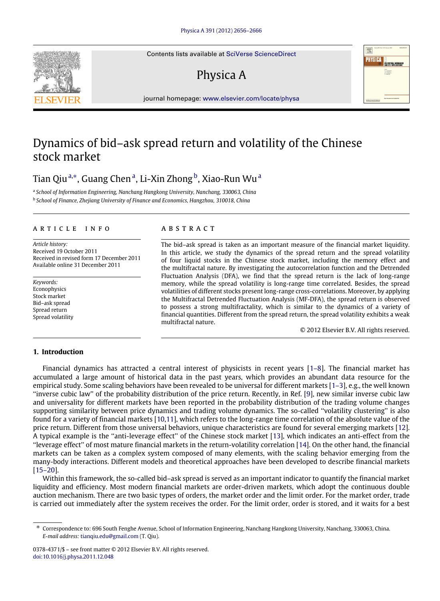Contents lists available at [SciVerse ScienceDirect](http://www.elsevier.com/locate/physa)

# Physica A



journal homepage: [www.elsevier.com/locate/physa](http://www.elsevier.com/locate/physa)

## Dynamics of bid–ask spread return and volatility of the Chinese stock market

Ti[a](#page-0-0)n Qiu ª,\*, Guang Chen ª, Li-Xin Zhong <sup>[b](#page-0-2)</sup>, Xiao-Run Wu ª

<span id="page-0-2"></span><span id="page-0-0"></span>a *School of Information Engineering, Nanchang Hangkong University, Nanchang, 330063, China* b *School of Finance, Zhejiang University of Finance and Economics, Hangzhou, 310018, China*

#### a r t i c l e i n f o

*Article history:* Received 19 October 2011 Received in revised form 17 December 2011 Available online 31 December 2011

*Keywords:* Econophysics Stock market Bid–ask spread Spread return Spread volatility

#### a b s t r a c t

The bid–ask spread is taken as an important measure of the financial market liquidity. In this article, we study the dynamics of the spread return and the spread volatility of four liquid stocks in the Chinese stock market, including the memory effect and the multifractal nature. By investigating the autocorrelation function and the Detrended Fluctuation Analysis (DFA), we find that the spread return is the lack of long-range memory, while the spread volatility is long-range time correlated. Besides, the spread volatilities of different stocks present long-range cross-correlations. Moreover, by applying the Multifractal Detrended Fluctuation Analysis (MF-DFA), the spread return is observed to possess a strong multifractality, which is similar to the dynamics of a variety of financial quantities. Different from the spread return, the spread volatility exhibits a weak multifractal nature.

© 2012 Elsevier B.V. All rights reserved.

### **1. Introduction**

Financial dynamics has attracted a central interest of physicists in recent years [\[1–8\]](#page--1-0). The financial market has accumulated a large amount of historical data in the past years, which provides an abundant data resource for the empirical study. Some scaling behaviors have been revealed to be universal for different markets [\[1–3\]](#page--1-0), e.g., the well known ''inverse cubic law'' of the probability distribution of the price return. Recently, in Ref. [\[9\]](#page--1-1), new similar inverse cubic law and universality for different markets have been reported in the probability distribution of the trading volume changes supporting similarity between price dynamics and trading volume dynamics. The so-called ''volatility clustering'' is also found for a variety of financial markets [\[10,](#page--1-2)[11\]](#page--1-3), which refers to the long-range time correlation of the absolute value of the price return. Different from those universal behaviors, unique characteristics are found for several emerging markets [\[12\]](#page--1-4). A typical example is the ''anti-leverage effect'' of the Chinese stock market [\[13\]](#page--1-5), which indicates an anti-effect from the ''leverage effect'' of most mature financial markets in the return-volatility correlation [\[14\]](#page--1-6). On the other hand, the financial markets can be taken as a complex system composed of many elements, with the scaling behavior emerging from the many-body interactions. Different models and theoretical approaches have been developed to describe financial markets [\[15–20\]](#page--1-7).

Within this framework, the so-called bid–ask spread is served as an important indicator to quantify the financial market liquidity and efficiency. Most modern financial markets are order-driven markets, which adopt the continuous double auction mechanism. There are two basic types of orders, the market order and the limit order. For the market order, trade is carried out immediately after the system receives the order. For the limit order, order is stored, and it waits for a best



<span id="page-0-1"></span><sup>∗</sup> Correspondence to: 696 South Fenghe Avenue, School of Information Engineering, Nanchang Hangkong University, Nanchang, 330063, China. *E-mail address:* [tianqiu.edu@gmail.com](mailto:tianqiu.edu@gmail.com) (T. Qiu).

<sup>0378-4371/\$ –</sup> see front matter © 2012 Elsevier B.V. All rights reserved. [doi:10.1016/j.physa.2011.12.048](http://dx.doi.org/10.1016/j.physa.2011.12.048)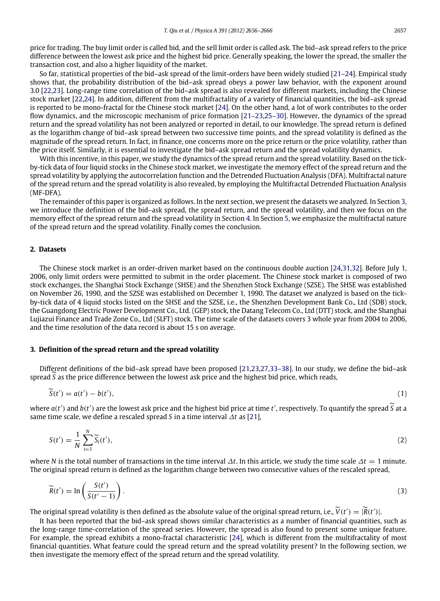price for trading. The buy limit order is called bid, and the sell limit order is called ask. The bid–ask spread refers to the price difference between the lowest ask price and the highest bid price. Generally speaking, the lower the spread, the smaller the transaction cost, and also a higher liquidity of the market.

So far, statistical properties of the bid–ask spread of the limit-orders have been widely studied [\[21–24\]](#page--1-8). Empirical study shows that, the probability distribution of the bid–ask spread obeys a power law behavior, with the exponent around 3.0 [\[22,](#page--1-9)[23\]](#page--1-10). Long-range time correlation of the bid–ask spread is also revealed for different markets, including the Chinese stock market [\[22](#page--1-9)[,24\]](#page--1-11). In addition, different from the multifractality of a variety of financial quantities, the bid–ask spread is reported to be mono-fractal for the Chinese stock market [\[24\]](#page--1-11). On the other hand, a lot of work contributes to the order flow dynamics, and the microscopic mechanism of price formation [\[21–23](#page--1-8)[,25–30\]](#page--1-12). However, the dynamics of the spread return and the spread volatility has not been analyzed or reported in detail, to our knowledge. The spread return is defined as the logarithm change of bid–ask spread between two successive time points, and the spread volatility is defined as the magnitude of the spread return. In fact, in finance, one concerns more on the price return or the price volatility, rather than the price itself. Similarly, it is essential to investigate the bid–ask spread return and the spread volatility dynamics.

With this incentive, in this paper, we study the dynamics of the spread return and the spread volatility. Based on the tickby-tick data of four liquid stocks in the Chinese stock market, we investigate the memory effect of the spread return and the spread volatility by applying the autocorrelation function and the Detrended Fluctuation Analysis (DFA). Multifractal nature of the spread return and the spread volatility is also revealed, by employing the Multifractal Detrended Fluctuation Analysis (MF-DFA).

The remainder of this paper is organized as follows. In the next section, we present the datasets we analyzed. In Section [3,](#page-1-0) we introduce the definition of the bid–ask spread, the spread return, and the spread volatility, and then we focus on the memory effect of the spread return and the spread volatility in Section [4.](#page--1-13) In Section [5,](#page--1-14) we emphasize the multifractal nature of the spread return and the spread volatility. Finally comes the conclusion.

### **2. Datasets**

The Chinese stock market is an order-driven market based on the continuous double auction [\[24,](#page--1-11)[31](#page--1-15)[,32\]](#page--1-16). Before July 1, 2006, only limit orders were permitted to submit in the order placement. The Chinese stock market is composed of two stock exchanges, the Shanghai Stock Exchange (SHSE) and the Shenzhen Stock Exchange (SZSE). The SHSE was established on November 26, 1990, and the SZSE was established on December 1, 1990. The dataset we analyzed is based on the tickby-tick data of 4 liquid stocks listed on the SHSE and the SZSE, i.e., the Shenzhen Development Bank Co., Ltd (SDB) stock, the Guangdong Electric Power Development Co., Ltd. (GEP) stock, the Datang Telecom Co., Ltd (DTT) stock, and the Shanghai Lujiazui Finance and Trade Zone Co., Ltd (SLFT) stock. The time scale of the datasets covers 3 whole year from 2004 to 2006, and the time resolution of the data record is about 15 s on average.

#### <span id="page-1-0"></span>**3. Definition of the spread return and the spread volatility**

Different definitions of the bid–ask spread have been proposed [\[21,](#page--1-8)[23](#page--1-10)[,27](#page--1-17)[,33–38\]](#page--1-18). In our study, we define the bid–ask spread*<sup>S</sup>* as the price difference between the lowest ask price and the highest bid price, which reads,

$$
\widetilde{S}(t') = a(t') - b(t'),\tag{1}
$$

where  $a(t')$  and  $b(t')$  are the lowest ask price and the highest bid price at time  $t'$ , respectively. To quantify the spread  $\tilde{S}$  at a same time scale, we define a rescaled spread *S* in a time interval ∆*t* as [\[21\]](#page--1-8),

$$
S(t') = \frac{1}{N} \sum_{i=1}^{N} \widetilde{S}_i(t'),\tag{2}
$$

where *N* is the total number of transactions in the time interval ∆*t*. In this article, we study the time scale ∆*t* = 1 minute. The original spread return is defined as the logarithm change between two consecutive values of the rescaled spread,

$$
\widetilde{R}(t') = \ln\left(\frac{S(t')}{S(t'-1)}\right). \tag{3}
$$

The original spread volatility is then defined as the absolute value of the original spread return, i.e.,  $\widetilde{V}(t') = |\widetilde{R}(t')|$ .

It has been reported that the bid–ask spread shows similar characteristics as a number of financial quantities, such as the long-range time-correlation of the spread series. However, the spread is also found to present some unique feature. For example, the spread exhibits a mono-fractal characteristic [\[24\]](#page--1-11), which is different from the multifractality of most financial quantities. What feature could the spread return and the spread volatility present? In the following section, we then investigate the memory effect of the spread return and the spread volatility.